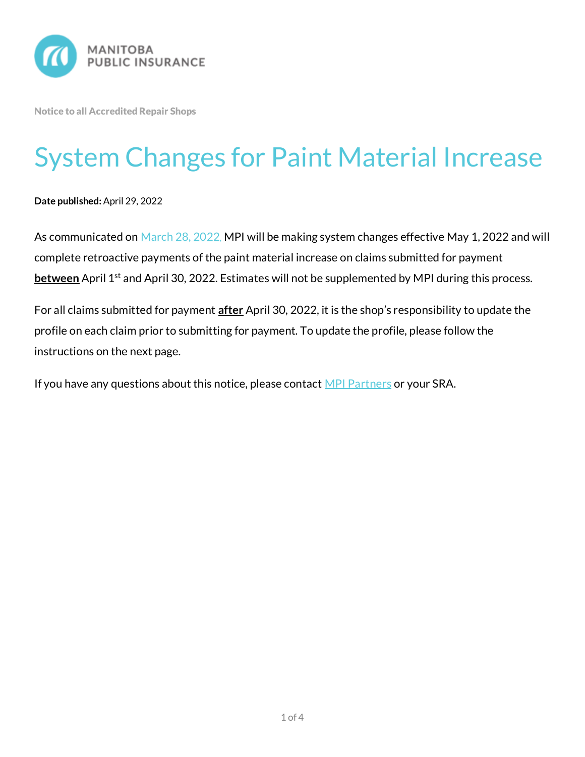

Notice to all Accredited Repair Shops

## System Changes for Paint Material Increase

**Date published:** April 29, 2022

As communicated on [March 28, 2022](https://mpipartners.ca/documents/Notices%20to%20trade/Misc/NTT-2021-LVAA-Paint-Material-Compensation-Increase-Effective-April-1-2022.pdf), MPI will be making system changes effective May 1, 2022 and will complete retroactive payments of the paint material increase on claims submitted for payment **between** April 1<sup>st</sup> and April 30, 2022. Estimates will not be supplemented by MPI during this process.

For all claims submitted for payment **after** April 30, 2022, it is the shop's responsibility to update the profile on each claim prior to submitting for payment. To update the profile, please follow the instructions on the next page.

If you have any questions about this notice, please contact [MPI Partners](mailto:Partners@mpi.mb.ca) or your SRA.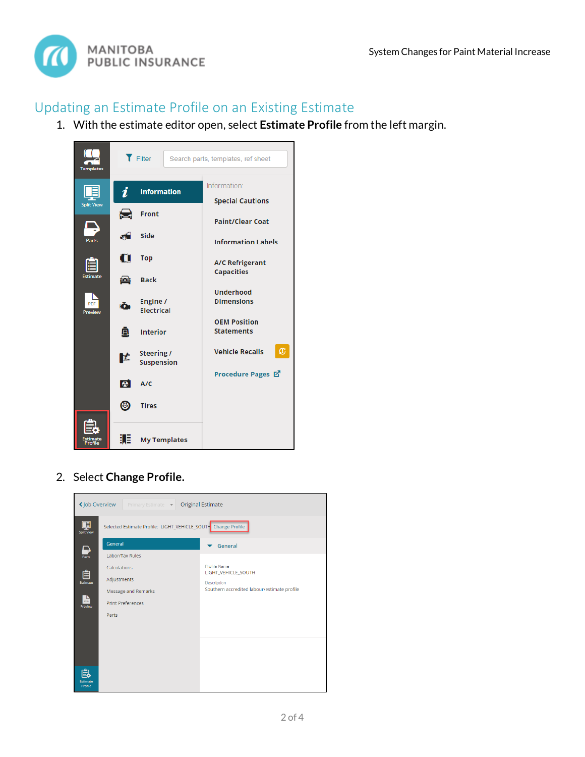

## Updating an Estimate Profile on an Existing Estimate

1. With the estimate editor open, select **Estimate Profile** from the left margin.



2. Select **Change Profile.**

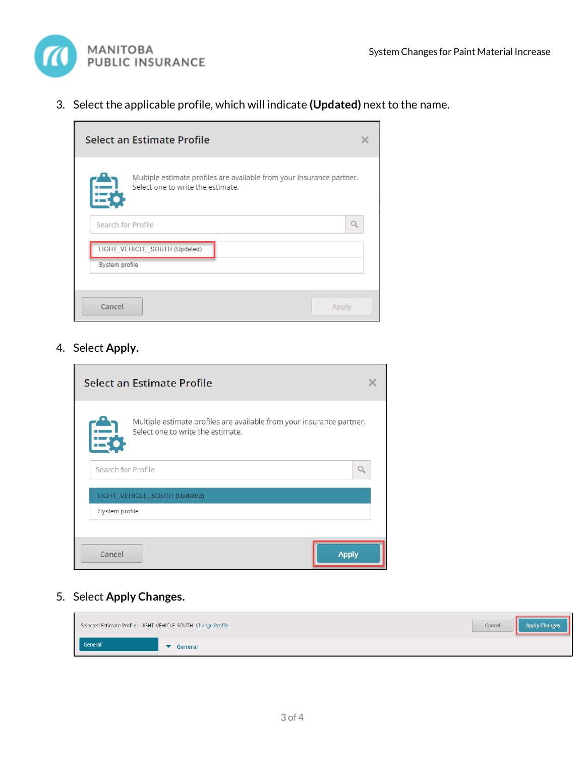

3. Select the applicable profile, which will indicate **(Updated)** next to the name.

| Select an Estimate Profile                                                                                 |  |
|------------------------------------------------------------------------------------------------------------|--|
| Multiple estimate profiles are available from your insurance partner.<br>Select one to write the estimate. |  |
| Search for Profile                                                                                         |  |
| LIGHT_VEHICLE_SOUTH (Updated)                                                                              |  |
| System profile                                                                                             |  |
| Cancel<br>Apply                                                                                            |  |

4. Select **Apply.**

| Select an Estimate Profile                                                                                      |  |
|-----------------------------------------------------------------------------------------------------------------|--|
| Multiple estimate profiles are available from your insurance partner.<br>臣<br>Select one to write the estimate. |  |
| Search for Profile                                                                                              |  |
| LIGHT_VEHICLE_SOUTH (Updated)                                                                                   |  |
| System profile                                                                                                  |  |
|                                                                                                                 |  |
| Cancel<br><b>Apply</b>                                                                                          |  |

## 5. Select **Apply Changes.**